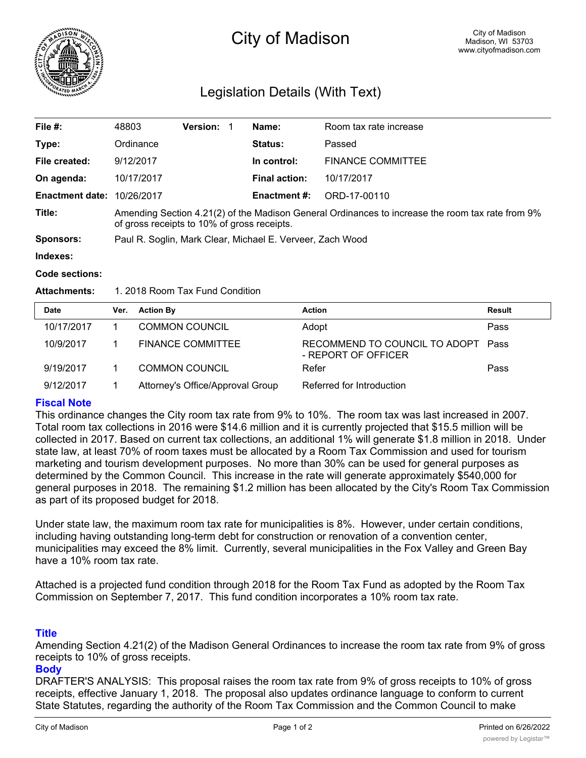

# City of Madison

# Legislation Details (With Text)

| File #:                           | 48803                                                                                                                                           | <b>Version:</b> |  | Name:                | Room tax rate increase   |  |  |
|-----------------------------------|-------------------------------------------------------------------------------------------------------------------------------------------------|-----------------|--|----------------------|--------------------------|--|--|
| Type:                             | Ordinance                                                                                                                                       |                 |  | <b>Status:</b>       | Passed                   |  |  |
| File created:                     | 9/12/2017                                                                                                                                       |                 |  | In control:          | <b>FINANCE COMMITTEE</b> |  |  |
| On agenda:                        | 10/17/2017                                                                                                                                      |                 |  | <b>Final action:</b> | 10/17/2017               |  |  |
| <b>Enactment date: 10/26/2017</b> |                                                                                                                                                 |                 |  | <b>Enactment #:</b>  | ORD-17-00110             |  |  |
| Title:                            | Amending Section 4.21(2) of the Madison General Ordinances to increase the room tax rate from 9%<br>of gross receipts to 10% of gross receipts. |                 |  |                      |                          |  |  |
| <b>Sponsors:</b>                  | Paul R. Soglin, Mark Clear, Michael E. Verveer, Zach Wood                                                                                       |                 |  |                      |                          |  |  |
| Indexes:                          |                                                                                                                                                 |                 |  |                      |                          |  |  |

**Code sections:**

### **Attachments:** 1. 2018 Room Tax Fund Condition

| <b>Date</b> | Ver. | <b>Action By</b>                 | <b>Action</b>                                             | <b>Result</b> |
|-------------|------|----------------------------------|-----------------------------------------------------------|---------------|
| 10/17/2017  |      | <b>COMMON COUNCIL</b>            | Adopt                                                     | Pass          |
| 10/9/2017   |      | <b>FINANCE COMMITTEE</b>         | RECOMMEND TO COUNCIL TO ADOPT Pass<br>- REPORT OF OFFICER |               |
| 9/19/2017   |      | <b>COMMON COUNCIL</b>            | Refer                                                     | Pass          |
| 9/12/2017   |      | Attorney's Office/Approval Group | Referred for Introduction                                 |               |

# **Fiscal Note**

This ordinance changes the City room tax rate from 9% to 10%. The room tax was last increased in 2007. Total room tax collections in 2016 were \$14.6 million and it is currently projected that \$15.5 million will be collected in 2017. Based on current tax collections, an additional 1% will generate \$1.8 million in 2018. Under state law, at least 70% of room taxes must be allocated by a Room Tax Commission and used for tourism marketing and tourism development purposes. No more than 30% can be used for general purposes as determined by the Common Council. This increase in the rate will generate approximately \$540,000 for general purposes in 2018. The remaining \$1.2 million has been allocated by the City's Room Tax Commission as part of its proposed budget for 2018.

Under state law, the maximum room tax rate for municipalities is 8%. However, under certain conditions, including having outstanding long-term debt for construction or renovation of a convention center, municipalities may exceed the 8% limit. Currently, several municipalities in the Fox Valley and Green Bay have a 10% room tax rate.

Attached is a projected fund condition through 2018 for the Room Tax Fund as adopted by the Room Tax Commission on September 7, 2017. This fund condition incorporates a 10% room tax rate.

# **Title**

Amending Section 4.21(2) of the Madison General Ordinances to increase the room tax rate from 9% of gross receipts to 10% of gross receipts.

### **Body**

DRAFTER'S ANALYSIS: This proposal raises the room tax rate from 9% of gross receipts to 10% of gross receipts, effective January 1, 2018. The proposal also updates ordinance language to conform to current State Statutes, regarding the authority of the Room Tax Commission and the Common Council to make